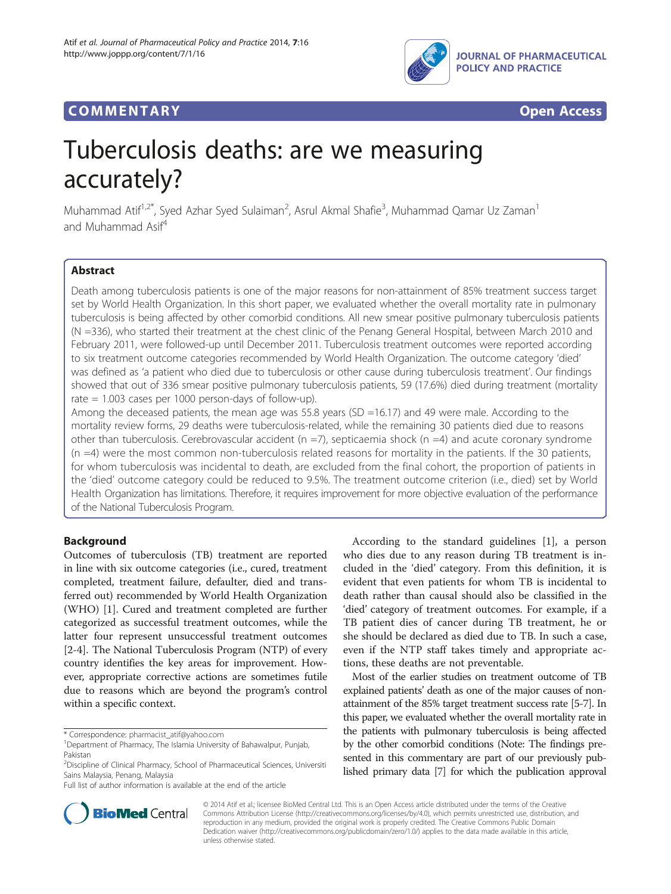

## **COMMENTARY COMMENTARY Open Access**



# Tuberculosis deaths: are we measuring accurately?

Muhammad Atif<sup>1,2\*</sup>, Syed Azhar Syed Sulaiman<sup>2</sup>, Asrul Akmal Shafie<sup>3</sup>, Muhammad Qamar Uz Zaman<sup>1</sup> and Muhammad Asif<sup>4</sup>

## Abstract

Death among tuberculosis patients is one of the major reasons for non-attainment of 85% treatment success target set by World Health Organization. In this short paper, we evaluated whether the overall mortality rate in pulmonary tuberculosis is being affected by other comorbid conditions. All new smear positive pulmonary tuberculosis patients (N =336), who started their treatment at the chest clinic of the Penang General Hospital, between March 2010 and February 2011, were followed-up until December 2011. Tuberculosis treatment outcomes were reported according to six treatment outcome categories recommended by World Health Organization. The outcome category 'died' was defined as 'a patient who died due to tuberculosis or other cause during tuberculosis treatment'. Our findings showed that out of 336 smear positive pulmonary tuberculosis patients, 59 (17.6%) died during treatment (mortality rate = 1.003 cases per 1000 person-days of follow-up).

Among the deceased patients, the mean age was  $55.8$  years (SD =16.17) and 49 were male. According to the mortality review forms, 29 deaths were tuberculosis-related, while the remaining 30 patients died due to reasons other than tuberculosis. Cerebrovascular accident ( $n = 7$ ), septicaemia shock ( $n = 4$ ) and acute coronary syndrome  $(n = 4)$  were the most common non-tuberculosis related reasons for mortality in the patients. If the 30 patients, for whom tuberculosis was incidental to death, are excluded from the final cohort, the proportion of patients in the 'died' outcome category could be reduced to 9.5%. The treatment outcome criterion (i.e., died) set by World Health Organization has limitations. Therefore, it requires improvement for more objective evaluation of the performance of the National Tuberculosis Program.

## Background

Outcomes of tuberculosis (TB) treatment are reported in line with six outcome categories (i.e., cured, treatment completed, treatment failure, defaulter, died and transferred out) recommended by World Health Organization (WHO) [[1\]](#page-2-0). Cured and treatment completed are further categorized as successful treatment outcomes, while the latter four represent unsuccessful treatment outcomes [[2-4](#page-2-0)]. The National Tuberculosis Program (NTP) of every country identifies the key areas for improvement. However, appropriate corrective actions are sometimes futile due to reasons which are beyond the program's control within a specific context.

According to the standard guidelines [[1\]](#page-2-0), a person who dies due to any reason during TB treatment is included in the 'died' category. From this definition, it is evident that even patients for whom TB is incidental to death rather than causal should also be classified in the 'died' category of treatment outcomes. For example, if a TB patient dies of cancer during TB treatment, he or she should be declared as died due to TB. In such a case, even if the NTP staff takes timely and appropriate actions, these deaths are not preventable.

Most of the earlier studies on treatment outcome of TB explained patients' death as one of the major causes of nonattainment of the 85% target treatment success rate [\[5-7\]](#page-2-0). In this paper, we evaluated whether the overall mortality rate in the patients with pulmonary tuberculosis is being affected by the other comorbid conditions (Note: The findings presented in this commentary are part of our previously published primary data [\[7](#page-2-0)] for which the publication approval



© 2014 Atif et al.; licensee BioMed Central Ltd. This is an Open Access article distributed under the terms of the Creative Commons Attribution License [\(http://creativecommons.org/licenses/by/4.0\)](http://creativecommons.org/licenses/by/4.0), which permits unrestricted use, distribution, and reproduction in any medium, provided the original work is properly credited. The Creative Commons Public Domain Dedication waiver [\(http://creativecommons.org/publicdomain/zero/1.0/](http://creativecommons.org/publicdomain/zero/1.0/)) applies to the data made available in this article, unless otherwise stated.

<sup>\*</sup> Correspondence: [pharmacist\\_atif@yahoo.com](mailto:pharmacist_atif@yahoo.com) <sup>1</sup>

<sup>&</sup>lt;sup>1</sup>Department of Pharmacy, The Islamia University of Bahawalpur, Punjab, Pakistan

<sup>&</sup>lt;sup>2</sup>Discipline of Clinical Pharmacy, School of Pharmaceutical Sciences, Universiti Sains Malaysia, Penang, Malaysia

Full list of author information is available at the end of the article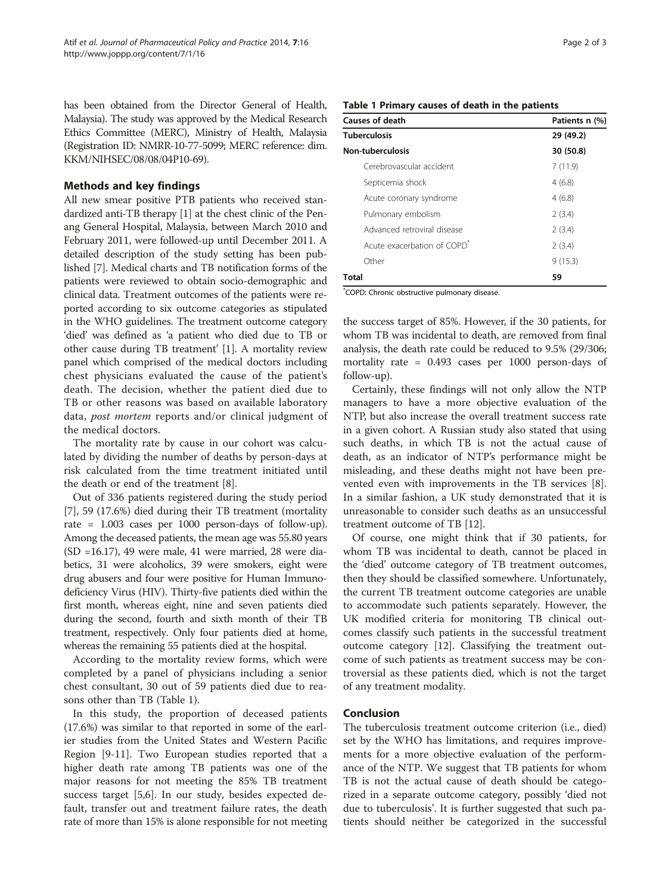has been obtained from the Director General of Health, Malaysia). The study was approved by the Medical Research Ethics Committee (MERC), Ministry of Health, Malaysia (Registration ID: NMRR-10-77-5099; MERC reference: dim. KKM/NIHSEC/08/08/04P10-69).

## Methods and key findings

All new smear positive PTB patients who received standardized anti-TB therapy [[1](#page-2-0)] at the chest clinic of the Penang General Hospital, Malaysia, between March 2010 and February 2011, were followed-up until December 2011. A detailed description of the study setting has been published [[7\]](#page-2-0). Medical charts and TB notification forms of the patients were reviewed to obtain socio-demographic and clinical data. Treatment outcomes of the patients were reported according to six outcome categories as stipulated in the WHO guidelines. The treatment outcome category 'died' was defined as 'a patient who died due to TB or other cause during TB treatment' [\[1](#page-2-0)]. A mortality review panel which comprised of the medical doctors including chest physicians evaluated the cause of the patient's death. The decision, whether the patient died due to TB or other reasons was based on available laboratory data, *post mortem* reports and/or clinical judgment of the medical doctors.

The mortality rate by cause in our cohort was calculated by dividing the number of deaths by person-days at risk calculated from the time treatment initiated until the death or end of the treatment [\[8](#page-2-0)].

Out of 336 patients registered during the study period [[7\]](#page-2-0), 59 (17.6%) died during their TB treatment (mortality rate = 1.003 cases per 1000 person-days of follow-up). Among the deceased patients, the mean age was 55.80 years (SD =16.17), 49 were male, 41 were married, 28 were diabetics, 31 were alcoholics, 39 were smokers, eight were drug abusers and four were positive for Human Immunodeficiency Virus (HIV). Thirty-five patients died within the first month, whereas eight, nine and seven patients died during the second, fourth and sixth month of their TB treatment, respectively. Only four patients died at home, whereas the remaining 55 patients died at the hospital.

According to the mortality review forms, which were completed by a panel of physicians including a senior chest consultant, 30 out of 59 patients died due to reasons other than TB (Table 1).

In this study, the proportion of deceased patients (17.6%) was similar to that reported in some of the earlier studies from the United States and Western Pacific Region [\[9](#page-2-0)-[11\]](#page-2-0). Two European studies reported that a higher death rate among TB patients was one of the major reasons for not meeting the 85% TB treatment success target [[5,6\]](#page-2-0). In our study, besides expected default, transfer out and treatment failure rates, the death rate of more than 15% is alone responsible for not meeting

## Table 1 Primary causes of death in the patients

| <b>Causes of death</b>                  | Patients n (%) |
|-----------------------------------------|----------------|
| Tuberculosis                            | 29 (49.2)      |
| Non-tuberculosis                        | 30 (50.8)      |
| Cerebrovascular accident                | 7(11.9)        |
| Septicemia shock                        | 4(6.8)         |
| Acute coronary syndrome                 | 4(6.8)         |
| Pulmonary embolism                      | 2(3.4)         |
| Advanced retroviral disease             | 2(3.4)         |
| Acute exacerbation of COPD <sup>®</sup> | 2(3.4)         |
| Other                                   | 9(15.3)        |
| Total                                   | 59             |

\* COPD: Chronic obstructive pulmonary disease.

the success target of 85%. However, if the 30 patients, for whom TB was incidental to death, are removed from final analysis, the death rate could be reduced to 9.5% (29/306; mortality rate = 0.493 cases per 1000 person-days of follow-up).

Certainly, these findings will not only allow the NTP managers to have a more objective evaluation of the NTP, but also increase the overall treatment success rate in a given cohort. A Russian study also stated that using such deaths, in which TB is not the actual cause of death, as an indicator of NTP's performance might be misleading, and these deaths might not have been prevented even with improvements in the TB services [\[8](#page-2-0)]. In a similar fashion, a UK study demonstrated that it is unreasonable to consider such deaths as an unsuccessful treatment outcome of TB [[12](#page-2-0)].

Of course, one might think that if 30 patients, for whom TB was incidental to death, cannot be placed in the 'died' outcome category of TB treatment outcomes, then they should be classified somewhere. Unfortunately, the current TB treatment outcome categories are unable to accommodate such patients separately. However, the UK modified criteria for monitoring TB clinical outcomes classify such patients in the successful treatment outcome category [[12](#page-2-0)]. Classifying the treatment outcome of such patients as treatment success may be controversial as these patients died, which is not the target of any treatment modality.

#### Conclusion

The tuberculosis treatment outcome criterion (i.e., died) set by the WHO has limitations, and requires improvements for a more objective evaluation of the performance of the NTP. We suggest that TB patients for whom TB is not the actual cause of death should be categorized in a separate outcome category, possibly 'died not due to tuberculosis'. It is further suggested that such patients should neither be categorized in the successful